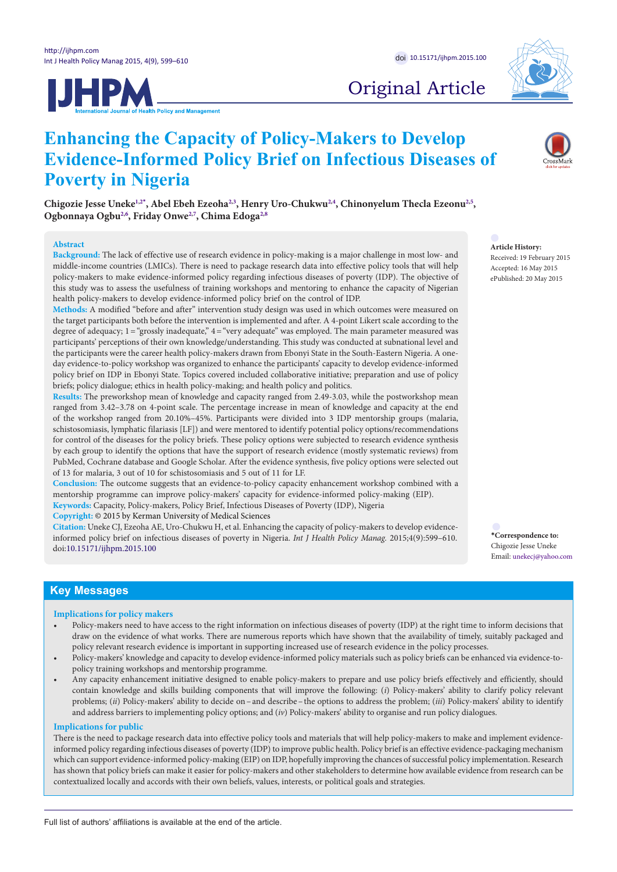



# Original Article

# **Enhancing the Capacity of Policy-Makers to Develop Evidence-Informed Policy Brief on Infectious Diseases of Poverty in Nigeria**

Chigozie Jesse Uneke<sup>[1](#page-9-0),[2](#page-9-1)</sup>[\\*](#page-0-0), Abel Ebeh Ezeoha<sup>2,[3](#page-9-2)</sup>, Henry Uro-Chukwu<sup>2,[4](#page-9-3)</sup>, Chinonyelum Thecla Ezeonu<sup>2,[5](#page-9-4)</sup>, **Ogbonnaya Ogb[u2](#page-9-1),[6](#page-9-5) , Friday Onwe[2](#page-9-1)[,7](#page-9-6) , Chima Edog[a2](#page-9-1)[,8](#page-9-7)**

## **Abstract**

**Background:** The lack of effective use of research evidence in policy-making is a major challenge in most low- and middle-income countries (LMICs). There is need to package research data into effective policy tools that will help policy-makers to make evidence-informed policy regarding infectious diseases of poverty (IDP). The objective of this study was to assess the usefulness of training workshops and mentoring to enhance the capacity of Nigerian health policy-makers to develop evidence-informed policy brief on the control of IDP.

**Methods:** A modified "before and after" intervention study design was used in which outcomes were measured on the target participants both before the intervention is implemented and after. A 4-point Likert scale according to the degree of adequacy;  $1 =$ "grossly inadequate,"  $4 =$ "very adequate" was employed. The main parameter measured was participants' perceptions of their own knowledge/understanding. This study was conducted at subnational level and the participants were the career health policy-makers drawn from Ebonyi State in the South-Eastern Nigeria. A oneday evidence-to-policy workshop was organized to enhance the participants' capacity to develop evidence-informed policy brief on IDP in Ebonyi State. Topics covered included collaborative initiative; preparation and use of policy briefs; policy dialogue; ethics in health policy-making; and health policy and politics.

**Results:** The preworkshop mean of knowledge and capacity ranged from 2.49-3.03, while the postworkshop mean ranged from 3.42–3.78 on 4-point scale. The percentage increase in mean of knowledge and capacity at the end of the workshop ranged from 20.10%–45%. Participants were divided into 3 IDP mentorship groups (malaria, schistosomiasis, lymphatic filariasis [LF]) and were mentored to identify potential policy options/recommendations for control of the diseases for the policy briefs. These policy options were subjected to research evidence synthesis by each group to identify the options that have the support of research evidence (mostly systematic reviews) from PubMed, Cochrane database and Google Scholar. After the evidence synthesis, five policy options were selected out of 13 for malaria, 3 out of 10 for schistosomiasis and 5 out of 11 for LF.

**Conclusion:** The outcome suggests that an evidence-to-policy capacity enhancement workshop combined with a mentorship programme can improve policy-makers' capacity for evidence-informed policy-making (EIP). **Keywords:** Capacity, Policy-makers, Policy Brief, Infectious Diseases of Poverty (IDP), Nigeria

**Copyright:** © 2015 by Kerman University of Medical Sciences

**Citation:** Uneke CJ, Ezeoha AE, Uro-Chukwu H, et al. Enhancing the capacity of policy-makers to develop evidenceinformed policy brief on infectious diseases of poverty in Nigeria. *Int J Health Policy Manag.* 2015;4(9):599–610. doi[:10.15171/ijhpm.2015.100](http://dx.doi.org/10.15171/ijhpm.2015.100)

**Article History:** Received: 19 February 2015 Accepted: 16 May 2015 ePublished: 20 May 2015

<span id="page-0-0"></span>**\*Correspondence to:** Chigozie Jesse Uneke Email: unekecj@yahoo.com

# **Key Messages**

#### **Implications for policy makers**

- Policy-makers need to have access to the right information on infectious diseases of poverty (IDP) at the right time to inform decisions that draw on the evidence of what works. There are numerous reports which have shown that the availability of timely, suitably packaged and policy relevant research evidence is important in supporting increased use of research evidence in the policy processes.
- Policy-makers' knowledge and capacity to develop evidence-informed policy materials such as policy briefs can be enhanced via evidence-topolicy training workshops and mentorship programme.
- Any capacity enhancement initiative designed to enable policy-makers to prepare and use policy briefs effectively and efficiently, should contain knowledge and skills building components that will improve the following: (*i*) Policy-makers' ability to clarify policy relevant problems; (*ii*) Policy-makers' ability to decide on–and describe–the options to address the problem; (*iii*) Policy-makers' ability to identify and address barriers to implementing policy options; and (*iv*) Policy-makers' ability to organise and run policy dialogues.

#### **Implications for public**

There is the need to package research data into effective policy tools and materials that will help policy-makers to make and implement evidenceinformed policy regarding infectious diseases of poverty (IDP) to improve public health. Policy brief is an effective evidence-packaging mechanism which can support evidence-informed policy-making (EIP) on IDP, hopefully improving the chances of successful policy implementation. Research has shown that policy briefs can make it easier for policy-makers and other stakeholders to determine how available evidence from research can be contextualized locally and accords with their own beliefs, values, interests, or political goals and strategies.

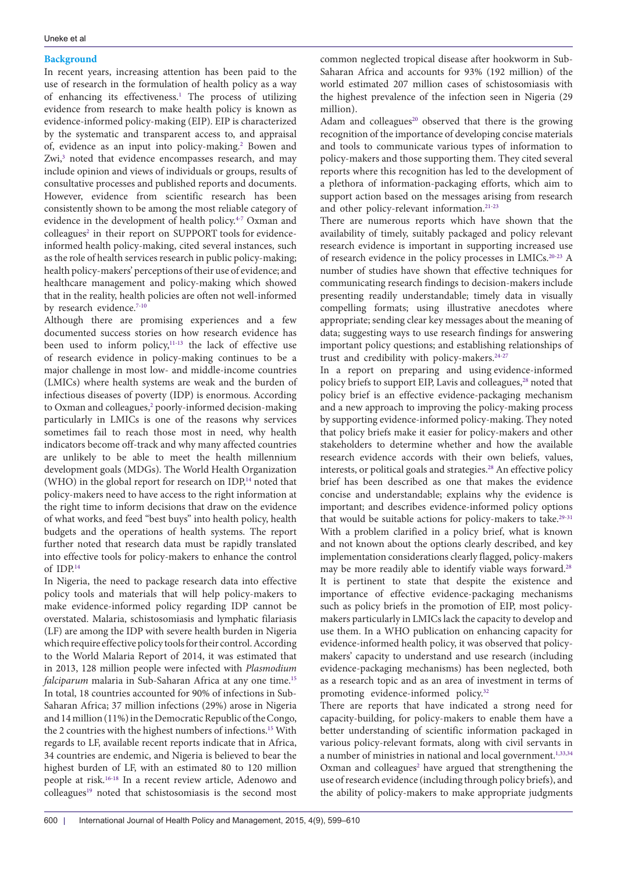# **Background**

In recent years, increasing attention has been paid to the use of research in the formulation of health policy as a way of enhancing its effectiveness.<sup>1</sup> The process of utilizing evidence from research to make health policy is known as evidence-informed policy-making (EIP). EIP is characterized by the systematic and transparent access to, and appraisal of, evidence as an input into policy-making.<sup>[2](#page-9-9)</sup> Bowen and Zwi,<sup>[3](#page-9-10)</sup> noted that evidence encompasses research, and may include opinion and views of individuals or groups, results of consultative processes and published reports and documents. However, evidence from scientific research has been consistently shown to be among the most reliable category of evidence in the development of health policy.<sup>4[-7](#page-9-12)</sup> Oxman and colleagues<sup>2</sup> in their report on SUPPORT tools for evidenceinformed health policy-making, cited several instances, such as the role of health services research in public policy-making; health policy-makers' perceptions of their use of evidence; and healthcare management and policy-making which showed that in the reality, health policies are often not well-informed by research evidence.<sup>7-[10](#page-10-0)</sup>

Although there are promising experiences and a few documented success stories on how research evidence has been used to inform policy,<sup>11-13</sup> the lack of effective use of research evidence in policy-making continues to be a major challenge in most low- and middle-income countries (LMICs) where health systems are weak and the burden of infectious diseases of poverty (IDP) is enormous. According to Oxman and colleagues,<sup>[2](#page-9-9)</sup> poorly-informed decision-making particularly in LMICs is one of the reasons why services sometimes fail to reach those most in need, why health indicators become off-track and why many affected countries are unlikely to be able to meet the health millennium development goals (MDGs). The World Health Organization (WHO) in the global report for research on  $IDP<sub>14</sub>$  noted that policy-makers need to have access to the right information at the right time to inform decisions that draw on the evidence of what works, and feed "best buys" into health policy, health budgets and the operations of health systems. The report further noted that research data must be rapidly translated into effective tools for policy-makers to enhance the control of IDP.[14](#page-10-3)

In Nigeria, the need to package research data into effective policy tools and materials that will help policy-makers to make evidence-informed policy regarding IDP cannot be overstated. Malaria, schistosomiasis and lymphatic filariasis (LF) are among the IDP with severe health burden in Nigeria which require effective policy tools for their control. According to the World Malaria Report of 2014, it was estimated that in 2013, 128 million people were infected with *Plasmodium falciparum* malaria in Sub-Saharan Africa at any one time.[15](#page-10-4) In total, 18 countries accounted for 90% of infections in Sub-Saharan Africa; 37 million infections (29%) arose in Nigeria and 14 million (11%) in the Democratic Republic of the Congo, the 2 countries with the highest numbers of infections.<sup>15</sup> With regards to LF, available recent reports indicate that in Africa, 34 countries are endemic, and Nigeria is believed to bear the highest burden of LF, with an estimated 80 to 120 million people at risk[.16-](#page-10-5)[18](#page-10-6) In a recent review article, Adenowo and colleagues<sup>19</sup> noted that schistosomiasis is the second most

common neglected tropical disease after hookworm in Sub-Saharan Africa and accounts for 93% (192 million) of the world estimated 207 million cases of schistosomiasis with the highest prevalence of the infection seen in Nigeria (29 million).

Adam and colleagues $20$  observed that there is the growing recognition of the importance of developing concise materials and tools to communicate various types of information to policy-makers and those supporting them. They cited several reports where this recognition has led to the development of a plethora of information-packaging efforts, which aim to support action based on the messages arising from research and other policy-relevant information.<sup>21-[23](#page-10-10)</sup>

There are numerous reports which have shown that the availability of timely, suitably packaged and policy relevant research evidence is important in supporting increased use of research evidence in the policy processes in LMICs.[20](#page-10-8)[-23](#page-10-10) A number of studies have shown that effective techniques for communicating research findings to decision-makers include presenting readily understandable; timely data in visually compelling formats; using illustrative anecdotes where appropriate; sending clear key messages about the meaning of data; suggesting ways to use research findings for answering important policy questions; and establishing relationships of trust and credibility with policy-makers.<sup>24-[27](#page-10-12)</sup>

In a report on preparing and using evidence-informed policy briefs to support EIP, Lavis and colleagues,<sup>28</sup> noted that policy brief is an effective evidence-packaging mechanism and a new approach to improving the policy-making process by supporting evidence-informed policy-making. They noted that policy briefs make it easier for policy-makers and other stakeholders to determine whether and how the available research evidence accords with their own beliefs, values, interests, or political goals and strategies.<sup>[28](#page-10-13)</sup> An effective policy brief has been described as one that makes the evidence concise and understandable; explains why the evidence is important; and describes evidence-informed policy options that would be suitable actions for policy-makers to take. $29-31$  $29-31$ With a problem clarified in a policy brief, what is known and not known about the options clearly described, and key implementation considerations clearly flagged, policy-makers may be more readily able to identify viable ways forward.<sup>28</sup> It is pertinent to state that despite the existence and importance of effective evidence-packaging mechanisms such as policy briefs in the promotion of EIP, most policymakers particularly in LMICs lack the capacity to develop and use them. In a WHO publication on enhancing capacity for evidence-informed health policy, it was observed that policymakers' capacity to understand and use research (including evidence-packaging mechanisms) has been neglected, both as a research topic and as an area of investment in terms of promoting evidence-informed policy.<sup>32</sup>

There are reports that have indicated a strong need for capacity-building, for policy-makers to enable them have a better understanding of scientific information packaged in various policy-relevant formats, along with civil servants in a number of ministries in national and local government.<sup>1[,33,](#page-10-17)[34](#page-10-18)</sup> Oxman and colleagues<sup>2</sup> have argued that strengthening the use of research evidence (including through policy briefs), and the ability of policy-makers to make appropriate judgments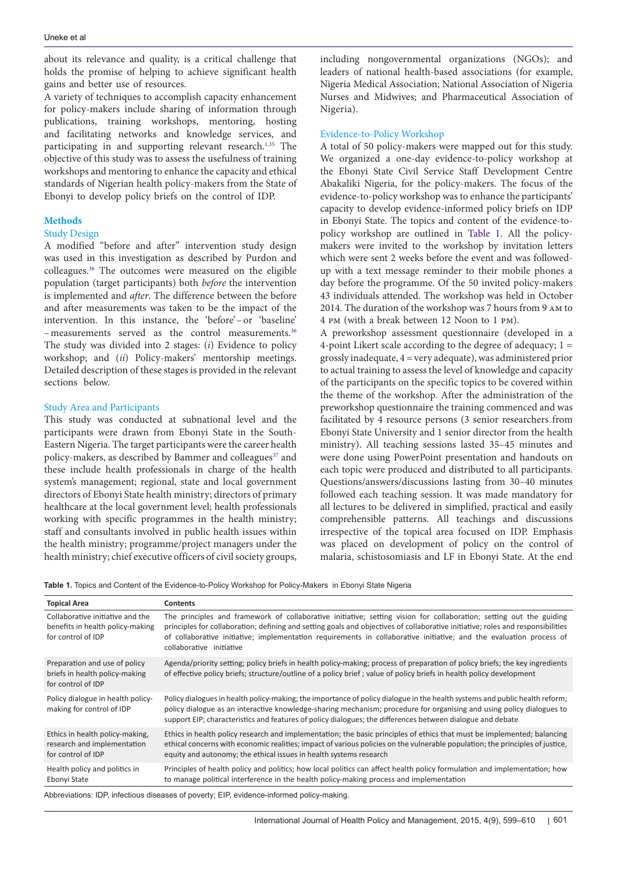about its relevance and quality, is a critical challenge that holds the promise of helping to achieve significant health gains and better use of resources.

A variety of techniques to accomplish capacity enhancement for policy-makers include sharing of information through publications, training workshops, mentoring, hosting and facilitating networks and knowledge services, and participating in and supporting relevant research.<sup>1,[35](#page-10-19)</sup> The objective of this study was to assess the usefulness of training workshops and mentoring to enhance the capacity and ethical standards of Nigerian health policy-makers from the State of Ebonyi to develop policy briefs on the control of IDP.

# **Methods**

# Study Design

A modified "before and after" intervention study design was used in this investigation as described by Purdon and colleagues.[36](#page-10-20) The outcomes were measured on the eligible population (target participants) both *before* the intervention is implemented and *after*. The difference between the before and after measurements was taken to be the impact of the intervention. In this instance, the 'before'–or 'baseline' –measurements served as the control measurements.[36](#page-10-20) The study was divided into 2 stages: (*i*) Evidence to policy workshop; and (*ii*) Policy-makers' mentorship meetings. Detailed description of these stages is provided in the relevant sections below.

## Study Area and Participants

This study was conducted at subnational level and the participants were drawn from Ebonyi State in the South-Eastern Nigeria. The target participants were the career health policy-makers, as described by Bammer and colleagues<sup>37</sup> and these include health professionals in charge of the health system's management; regional, state and local government directors of Ebonyi State health ministry; directors of primary healthcare at the local government level; health professionals working with specific programmes in the health ministry; staff and consultants involved in public health issues within the health ministry; programme/project managers under the health ministry; chief executive officers of civil society groups,

including nongovernmental organizations (NGOs); and leaders of national health-based associations (for example, Nigeria Medical Association; National Association of Nigeria Nurses and Midwives; and Pharmaceutical Association of Nigeria).

## Evidence-to-Policy Workshop

A total of 50 policy-makers were mapped out for this study. We organized a one-day evidence-to-policy workshop at the Ebonyi State Civil Service Staff Development Centre Abakaliki Nigeria, for the policy-makers. The focus of the evidence-to-policy workshop was to enhance the participants' capacity to develop evidence-informed policy briefs on IDP in Ebonyi State. The topics and content of the evidence-topolicy workshop are outlined in [Table 1.](#page-2-0) All the policymakers were invited to the workshop by invitation letters which were sent 2 weeks before the event and was followedup with a text message reminder to their mobile phones a day before the programme. Of the 50 invited policy-makers 43 individuals attended. The workshop was held in October 2014. The duration of the workshop was 7 hours from 9 am to 4 pm (with a break between 12 Noon to 1 pm).

A preworkshop assessment questionnaire (developed in a 4-point Likert scale according to the degree of adequacy;  $1 =$ grossly inadequate, 4 = very adequate), was administered prior to actual training to assess the level of knowledge and capacity of the participants on the specific topics to be covered within the theme of the workshop. After the administration of the preworkshop questionnaire the training commenced and was facilitated by 4 resource persons (3 senior researchers from Ebonyi State University and 1 senior director from the health ministry). All teaching sessions lasted 35–45 minutes and were done using PowerPoint presentation and handouts on each topic were produced and distributed to all participants. Questions/answers/discussions lasting from 30–40 minutes followed each teaching session. It was made mandatory for all lectures to be delivered in simplified, practical and easily comprehensible patterns. All teachings and discussions irrespective of the topical area focused on IDP. Emphasis was placed on development of policy on the control of malaria, schistosomiasis and LF in Ebonyi State. At the end

<span id="page-2-0"></span>**Table 1.** Topics and Content of the Evidence-to-Policy Workshop for Policy-Makers in Ebonyi State Nigeria

| <b>Topical Area</b>                                                                        | <b>Contents</b>                                                                                                                                                                                                                                                                                                                                                                                           |
|--------------------------------------------------------------------------------------------|-----------------------------------------------------------------------------------------------------------------------------------------------------------------------------------------------------------------------------------------------------------------------------------------------------------------------------------------------------------------------------------------------------------|
| Collaborative initiative and the<br>benefits in health policy-making<br>for control of IDP | The principles and framework of collaborative initiative; setting vision for collaboration; setting out the guiding<br>principles for collaboration; defining and setting goals and objectives of collaborative initiative; roles and responsibilities<br>of collaborative initiative; implementation requirements in collaborative initiative; and the evaluation process of<br>collaborative initiative |
| Preparation and use of policy<br>briefs in health policy-making<br>for control of IDP      | Agenda/priority setting; policy briefs in health policy-making; process of preparation of policy briefs; the key ingredients<br>of effective policy briefs; structure/outline of a policy brief; value of policy briefs in health policy development                                                                                                                                                      |
| Policy dialogue in health policy-<br>making for control of IDP                             | Policy dialogues in health policy-making; the importance of policy dialogue in the health systems and public health reform;<br>policy dialogue as an interactive knowledge-sharing mechanism; procedure for organising and using policy dialogues to<br>support EIP; characteristics and features of policy dialogues; the differences between dialogue and debate                                        |
| Ethics in health policy-making,<br>research and implementation<br>for control of IDP       | Ethics in health policy research and implementation; the basic principles of ethics that must be implemented; balancing<br>ethical concerns with economic realities; impact of various policies on the vulnerable population; the principles of justice,<br>equity and autonomy; the ethical issues in health systems research                                                                            |
| Health policy and politics in<br>Ebonyi State                                              | Principles of health policy and politics; how local politics can affect health policy formulation and implementation; how<br>to manage political interference in the health policy-making process and implementation                                                                                                                                                                                      |

Abbreviations: IDP, infectious diseases of poverty; EIP, evidence-informed policy-making.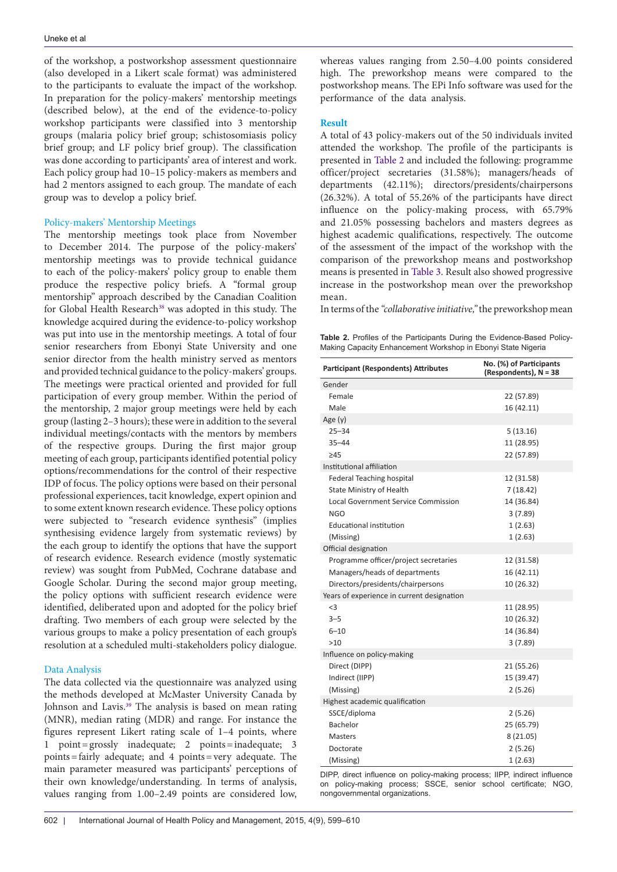of the workshop, a postworkshop assessment questionnaire (also developed in a Likert scale format) was administered to the participants to evaluate the impact of the workshop. In preparation for the policy-makers' mentorship meetings (described below), at the end of the evidence-to-policy workshop participants were classified into 3 mentorship groups (malaria policy brief group; schistosomiasis policy brief group; and LF policy brief group). The classification was done according to participants' area of interest and work. Each policy group had 10–15 policy-makers as members and had 2 mentors assigned to each group. The mandate of each group was to develop a policy brief.

# Policy-makers' Mentorship Meetings

The mentorship meetings took place from November to December 2014. The purpose of the policy-makers' mentorship meetings was to provide technical guidance to each of the policy-makers' policy group to enable them produce the respective policy briefs. A "formal group mentorship" approach described by the Canadian Coalition for Global Health Research<sup>38</sup> was adopted in this study. The knowledge acquired during the evidence-to-policy workshop was put into use in the mentorship meetings. A total of four senior researchers from Ebonyi State University and one senior director from the health ministry served as mentors and provided technical guidance to the policy-makers' groups. The meetings were practical oriented and provided for full participation of every group member. Within the period of the mentorship, 2 major group meetings were held by each group (lasting 2–3 hours); these were in addition to the several individual meetings/contacts with the mentors by members of the respective groups. During the first major group meeting of each group, participants identified potential policy options/recommendations for the control of their respective IDP of focus. The policy options were based on their personal professional experiences, tacit knowledge, expert opinion and to some extent known research evidence. These policy options were subjected to "research evidence synthesis" (implies synthesising evidence largely from systematic reviews) by the each group to identify the options that have the support of research evidence. Research evidence (mostly systematic review) was sought from PubMed, Cochrane database and Google Scholar. During the second major group meeting, the policy options with sufficient research evidence were identified, deliberated upon and adopted for the policy brief drafting. Two members of each group were selected by the various groups to make a policy presentation of each group's resolution at a scheduled multi-stakeholders policy dialogue.

# Data Analysis

The data collected via the questionnaire was analyzed using the methods developed at McMaster University Canada by Johnson and Lavis.<sup>39</sup> The analysis is based on mean rating (MNR), median rating (MDR) and range. For instance the figures represent Likert rating scale of 1–4 points, where 1 point=grossly inadequate; 2 points=inadequate; 3 points=fairly adequate; and 4 points=very adequate. The main parameter measured was participants' perceptions of their own knowledge/understanding. In terms of analysis, values ranging from 1.00–2.49 points are considered low,

whereas values ranging from 2.50–4.00 points considered high. The preworkshop means were compared to the postworkshop means. The EPi Info software was used for the performance of the data analysis.

### **Result**

A total of 43 policy-makers out of the 50 individuals invited attended the workshop. The profile of the participants is presented in [Table 2](#page-3-0) and included the following: programme officer/project secretaries (31.58%); managers/heads of departments (42.11%); directors/presidents/chairpersons (26.32%). A total of 55.26% of the participants have direct influence on the policy-making process, with 65.79% and 21.05% possessing bachelors and masters degrees as highest academic qualifications, respectively. The outcome of the assessment of the impact of the workshop with the comparison of the preworkshop means and postworkshop means is presented in [Table 3](#page-4-0). Result also showed progressive increase in the postworkshop mean over the preworkshop mean.

In terms of the *"collaborative initiative,"* the preworkshop mean

<span id="page-3-0"></span>**Table 2.** Profiles of the Participants During the Evidence-Based Policy-Making Capacity Enhancement Workshop in Ebonyi State Nigeria

| <b>Participant (Respondents) Attributes</b> | No. (%) of Participants<br>(Respondents), N = 38 |
|---------------------------------------------|--------------------------------------------------|
| Gender                                      |                                                  |
| Female                                      | 22 (57.89)                                       |
| Male                                        | 16 (42.11)                                       |
| Age (y)                                     |                                                  |
| $25 - 34$                                   | 5(13.16)                                         |
| $35 - 44$                                   | 11 (28.95)                                       |
| $\geq 45$                                   | 22 (57.89)                                       |
| Institutional affiliation                   |                                                  |
| <b>Federal Teaching hospital</b>            | 12 (31.58)                                       |
| State Ministry of Health                    | 7(18.42)                                         |
| <b>Local Government Service Commission</b>  | 14 (36.84)                                       |
| <b>NGO</b>                                  | 3(7.89)                                          |
| <b>Educational institution</b>              | 1(2.63)                                          |
| (Missing)                                   | 1(2.63)                                          |
| Official designation                        |                                                  |
| Programme officer/project secretaries       | 12 (31.58)                                       |
| Managers/heads of departments               | 16 (42.11)                                       |
| Directors/presidents/chairpersons           | 10 (26.32)                                       |
| Years of experience in current designation  |                                                  |
| $3$                                         | 11 (28.95)                                       |
| $3 - 5$                                     | 10 (26.32)                                       |
| $6 - 10$                                    | 14 (36.84)                                       |
| >10                                         | 3(7.89)                                          |
| Influence on policy-making                  |                                                  |
| Direct (DIPP)                               | 21 (55.26)                                       |
| Indirect (IIPP)                             | 15 (39.47)                                       |
| (Missing)                                   | 2(5.26)                                          |
| Highest academic qualification              |                                                  |
| SSCE/diploma                                | 2(5.26)                                          |
| Bachelor                                    | 25 (65.79)                                       |
| Masters                                     | 8(21.05)                                         |
| Doctorate                                   | 2(5.26)                                          |
| (Missing)                                   | 1(2.63)                                          |

DIPP, direct influence on policy-making process; IIPP, indirect influence on policy-making process; SSCE, senior school certificate; NGO, nongovernmental organizations.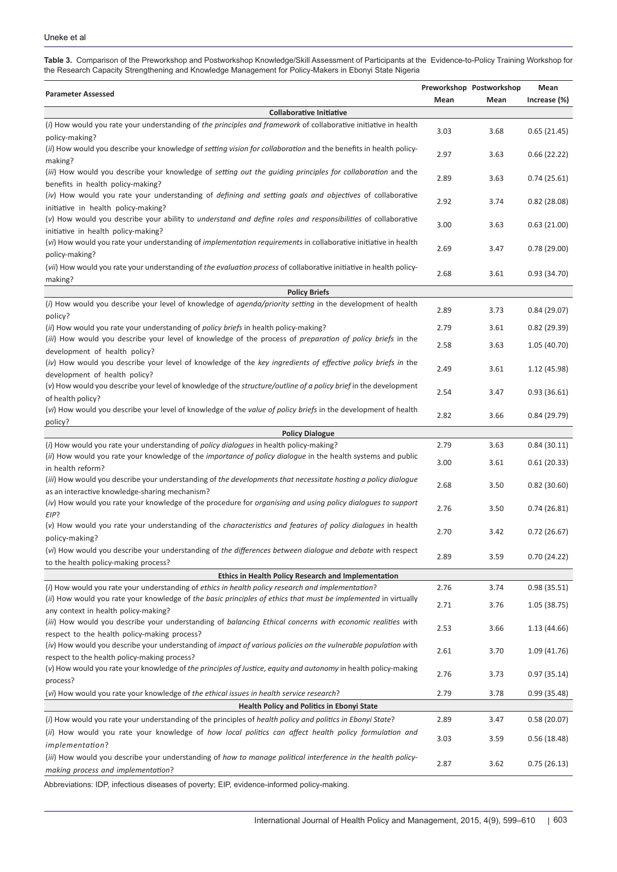<span id="page-4-0"></span>**Table 3.** Comparison of the Preworkshop and Postworkshop Knowledge/Skill Assessment of Participants at the Evidence-to-Policy Training Workshop for the Research Capacity Strengthening and Knowledge Management for Policy-Makers in Ebonyi State Nigeria

| <b>Parameter Assessed</b>                                                                                                                                              |      | Preworkshop Postworkshop | Mean         |
|------------------------------------------------------------------------------------------------------------------------------------------------------------------------|------|--------------------------|--------------|
|                                                                                                                                                                        | Mean | Mean                     | Increase (%) |
| <b>Collaborative Initiative</b>                                                                                                                                        |      |                          |              |
| (i) How would you rate your understanding of the principles and framework of collaborative initiative in health<br>policy-making?                                      | 3.03 | 3.68                     | 0.65(21.45)  |
| (ii) How would you describe your knowledge of setting vision for collaboration and the benefits in health policy-<br>making?                                           | 2.97 | 3.63                     | 0.66(22.22)  |
| (iii) How would you describe your knowledge of setting out the guiding principles for collaboration and the<br>benefits in health policy-making?                       | 2.89 | 3.63                     | 0.74(25.61)  |
| (iv) How would you rate your understanding of <i>defining and setting goals and objectives</i> of collaborative<br>initiative in health policy-making?                 | 2.92 | 3.74                     | 0.82(28.08)  |
| (v) How would you describe your ability to understand and define roles and responsibilities of collaborative<br>initiative in health policy-making?                    | 3.00 | 3.63                     | 0.63(21.00)  |
| (vi) How would you rate your understanding of <i>implementation requirements</i> in collaborative initiative in health<br>policy-making?                               | 2.69 | 3.47                     | 0.78(29.00)  |
| (vii) How would you rate your understanding of the evaluation process of collaborative initiative in health policy-<br>making?                                         | 2.68 | 3.61                     | 0.93(34.70)  |
| <b>Policy Briefs</b>                                                                                                                                                   |      |                          |              |
| (i) How would you describe your level of knowledge of agenda/priority setting in the development of health<br>policy?                                                  | 2.89 | 3.73                     | 0.84(29.07)  |
| (ii) How would you rate your understanding of policy briefs in health policy-making?                                                                                   | 2.79 | 3.61                     | 0.82(29.39)  |
| (iii) How would you describe your level of knowledge of the process of <i>preparation of policy briefs</i> in the                                                      | 2.58 | 3.63                     | 1.05(40.70)  |
| development of health policy?<br>(iv) How would you describe your level of knowledge of the key ingredients of effective policy briefs in the                          | 2.49 | 3.61                     | 1.12 (45.98) |
| development of health policy?<br>(v) How would you describe your level of knowledge of the structure/outline of a policy brief in the development                      | 2.54 | 3.47                     | 0.93(36.61)  |
| of health policy?<br>(vi) How would you describe your level of knowledge of the value of policy briefs in the development of health<br>policy?                         | 2.82 | 3.66                     | 0.84(29.79)  |
| <b>Policy Dialogue</b>                                                                                                                                                 |      |                          |              |
| (i) How would you rate your understanding of policy dialogues in health policy-making?                                                                                 | 2.79 | 3.63                     | 0.84(30.11)  |
| (ii) How would you rate your knowledge of the <i>importance of policy dialogue</i> in the health systems and public<br>in health reform?                               | 3.00 | 3.61                     | 0.61(20.33)  |
| (iii) How would you describe your understanding of the developments that necessitate hosting a policy dialogue<br>as an interactive knowledge-sharing mechanism?       | 2.68 | 3.50                     | 0.82(30.60)  |
| (iv) How would you rate your knowledge of the procedure for <i>organising and using policy dialoques to support</i><br>EIP?                                            | 2.76 | 3.50                     | 0.74(26.81)  |
| (v) How would you rate your understanding of the <i>characteristics and features of policy dialogues</i> in health<br>policy-making?                                   | 2.70 | 3.42                     | 0.72(26.67)  |
| (vi) How would you describe your understanding of the differences between dialogue and debate with respect<br>to the health policy-making process?                     | 2.89 | 3.59                     | 0.70(24.22)  |
| Ethics in Health Policy Research and Implementation                                                                                                                    |      |                          |              |
| (i) How would you rate your understanding of ethics in health policy research and implementation?                                                                      | 2.76 | 3.74                     | 0.98(35.51)  |
| (ii) How would you rate your knowledge of the basic principles of ethics that must be implemented in virtually                                                         | 2.71 | 3.76                     | 1.05(38.75)  |
| any context in health policy-making?<br>(iii) How would you describe your understanding of balancing Ethical concerns with economic realities with                     | 2.53 | 3.66                     | 1.13(44.66)  |
| respect to the health policy-making process?<br>(iv) How would you describe your understanding of impact of various policies on the vulnerable population with         | 2.61 | 3.70                     | 1.09(41.76)  |
| respect to the health policy-making process?<br>(v) How would you rate your knowledge of the principles of Justice, equity and autonomy in health policy-making        | 2.76 | 3.73                     | 0.97(35.14)  |
| process?<br>(vi) How would you rate your knowledge of the ethical issues in health service research?                                                                   | 2.79 |                          |              |
| <b>Health Policy and Politics in Ebonyi State</b>                                                                                                                      |      | 3.78                     | 0.99(35.48)  |
| (i) How would you rate your understanding of the principles of health policy and politics in Ebonyi State?                                                             | 2.89 | 3.47                     | 0.58(20.07)  |
| (ii) How would you rate your knowledge of how local politics can affect health policy formulation and                                                                  | 3.03 | 3.59                     | 0.56(18.48)  |
| implementation?<br>(iii) How would you describe your understanding of how to manage political interference in the health policy-<br>making process and implementation? | 2.87 | 3.62                     | 0.75(26.13)  |

Abbreviations: IDP, infectious diseases of poverty; EIP, evidence-informed policy-making.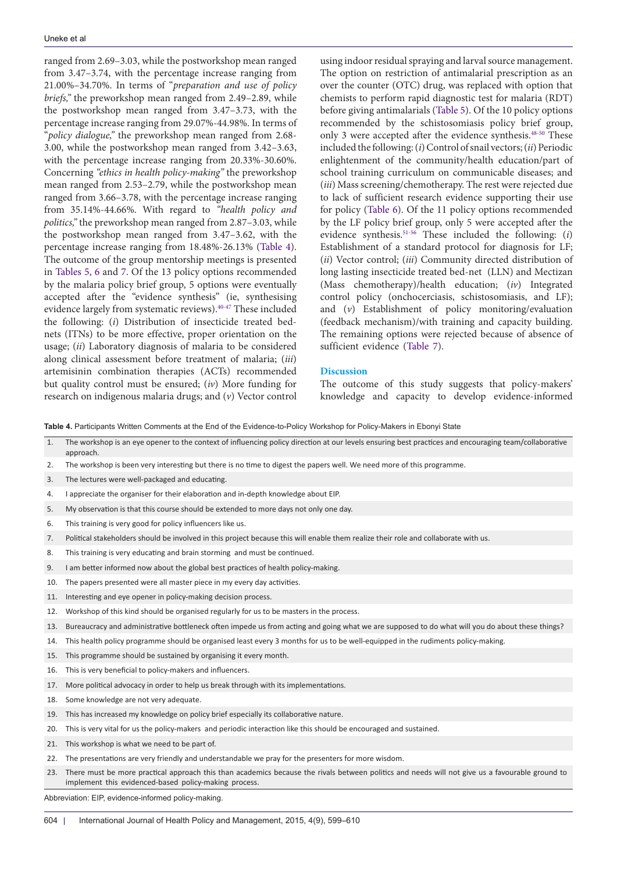ranged from 2.69–3.03, while the postworkshop mean ranged from 3.47–3.74, with the percentage increase ranging from 21.00%–34.70%. In terms of "*preparation and use of policy briefs,"* the preworkshop mean ranged from 2.49–2.89, while the postworkshop mean ranged from 3.47–3.73, with the percentage increase ranging from 29.07%-44.98%. In terms of "*policy dialogue,"* the preworkshop mean ranged from 2.68- 3.00, while the postworkshop mean ranged from 3.42–3.63, with the percentage increase ranging from 20.33%-30.60%. Concerning *"ethics in health policy-making"* the preworkshop mean ranged from 2.53–2.79, while the postworkshop mean ranged from 3.66–3.78, with the percentage increase ranging from 35.14%-44.66%. With regard to *"health policy and politics,"* the preworkshop mean ranged from 2.87–3.03, while the postworkshop mean ranged from 3.47–3.62, with the percentage increase ranging from 18.48%-26.13% [\(Table 4\)](#page-5-0). The outcome of the group mentorship meetings is presented in [Tables 5](#page-6-0), [6](#page-7-0) and [7.](#page-8-0) Of the 13 policy options recommended by the malaria policy brief group, 5 options were eventually accepted after the "evidence synthesis" (ie, synthesising evidence largely from systematic reviews).<sup>[40-](#page-10-24)[47](#page-11-0)</sup> These included the following: (*i*) Distribution of insecticide treated bednets (ITNs) to be more effective, proper orientation on the usage; (*ii*) Laboratory diagnosis of malaria to be considered along clinical assessment before treatment of malaria; (*iii*) artemisinin combination therapies (ACTs) recommended but quality control must be ensured; (*iv*) More funding for research on indigenous malaria drugs; and (*v*) Vector control

using indoor residual spraying and larval source management. The option on restriction of antimalarial prescription as an over the counter (OTC) drug, was replaced with option that chemists to perform rapid diagnostic test for malaria (RDT) before giving antimalarials ([Table 5](#page-6-0)). Of the 10 policy options recommended by the schistosomiasis policy brief group, only 3 were accepted after the evidence synthesis.<sup>48-50</sup> These included the following: (*i*) Control of snail vectors; (*ii*) Periodic enlightenment of the community/health education/part of school training curriculum on communicable diseases; and (*iii*) Mass screening/chemotherapy. The rest were rejected due to lack of sufficient research evidence supporting their use for policy ([Table 6\)](#page-7-0). Of the 11 policy options recommended by the LF policy brief group, only 5 were accepted after the evidence synthesis.[51](#page-11-3)[-56](#page-11-4) These included the following: (*i*) Establishment of a standard protocol for diagnosis for LF; (*ii*) Vector control; (*iii*) Community directed distribution of long lasting insecticide treated bed-net (LLN) and Mectizan (Mass chemotherapy)/health education; (*iv*) Integrated control policy (onchocerciasis, schistosomiasis, and LF); and (*v*) Establishment of policy monitoring/evaluation (feedback mechanism)/with training and capacity building. The remaining options were rejected because of absence of sufficient evidence ([Table 7\)](#page-8-0).

#### **Discussion**

The outcome of this study suggests that policy-makers' knowledge and capacity to develop evidence-informed

<span id="page-5-0"></span>**Table 4.** Participants Written Comments at the End of the Evidence-to-Policy Workshop for Policy-Makers in Ebonyi State

- 1. The workshop is an eye opener to the context of influencing policy direction at our levels ensuring best practices and encouraging team/collaborative approach.
- 2. The workshop is been very interesting but there is no time to digest the papers well. We need more of this programme.
- 3. The lectures were well-packaged and educating.
- 4. I appreciate the organiser for their elaboration and in-depth knowledge about EIP.
- 5. My observation is that this course should be extended to more days not only one day.
- 6. This training is very good for policy influencers like us.
- 7. Political stakeholders should be involved in this project because this will enable them realize their role and collaborate with us.
- 8. This training is very educating and brain storming and must be continued.
- 9. I am better informed now about the global best practices of health policy-making.
- 10. The papers presented were all master piece in my every day activities.
- 11. Interesting and eye opener in policy-making decision process.
- 12. Workshop of this kind should be organised regularly for us to be masters in the process.
- 13. Bureaucracy and administrative bottleneck often impede us from acting and going what we are supposed to do what will you do about these things?
- 14. This health policy programme should be organised least every 3 months for us to be well-equipped in the rudiments policy-making.
- 15. This programme should be sustained by organising it every month.
- 16. This is very beneficial to policy-makers and influencers.
- 17. More political advocacy in order to help us break through with its implementations.
- 18. Some knowledge are not very adequate.
- 19. This has increased my knowledge on policy brief especially its collaborative nature.
- 20. This is very vital for us the policy-makers and periodic interaction like this should be encouraged and sustained.
- 21. This workshop is what we need to be part of.
- 22. The presentations are very friendly and understandable we pray for the presenters for more wisdom.
- 23. There must be more practical approach this than academics because the rivals between politics and needs will not give us a favourable ground to implement this evidenced-based policy-making process.

Abbreviation: EIP, evidence-informed policy-making.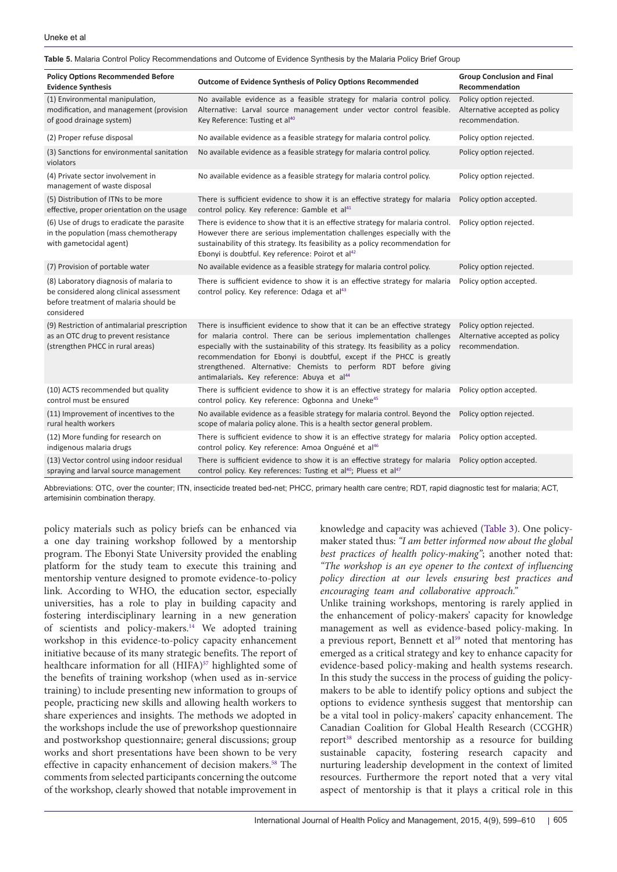#### <span id="page-6-0"></span>**Table 5.** Malaria Control Policy Recommendations and Outcome of Evidence Synthesis by the Malaria Policy Brief Group

| <b>Policy Options Recommended Before</b>                                                                                                 | Outcome of Evidence Synthesis of Policy Options Recommended                                                                                                                                                                                                                                                                                                                                                                                   | <b>Group Conclusion and Final</b>                                            |
|------------------------------------------------------------------------------------------------------------------------------------------|-----------------------------------------------------------------------------------------------------------------------------------------------------------------------------------------------------------------------------------------------------------------------------------------------------------------------------------------------------------------------------------------------------------------------------------------------|------------------------------------------------------------------------------|
| <b>Evidence Synthesis</b>                                                                                                                |                                                                                                                                                                                                                                                                                                                                                                                                                                               | Recommendation                                                               |
| (1) Environmental manipulation,<br>modification, and management (provision<br>of good drainage system)                                   | No available evidence as a feasible strategy for malaria control policy.<br>Alternative: Larval source management under vector control feasible.<br>Key Reference: Tusting et al <sup>40</sup>                                                                                                                                                                                                                                                | Policy option rejected.<br>Alternative accepted as policy<br>recommendation. |
| (2) Proper refuse disposal                                                                                                               | No available evidence as a feasible strategy for malaria control policy.                                                                                                                                                                                                                                                                                                                                                                      | Policy option rejected.                                                      |
| (3) Sanctions for environmental sanitation<br>violators                                                                                  | No available evidence as a feasible strategy for malaria control policy.                                                                                                                                                                                                                                                                                                                                                                      | Policy option rejected.                                                      |
| (4) Private sector involvement in<br>management of waste disposal                                                                        | No available evidence as a feasible strategy for malaria control policy.                                                                                                                                                                                                                                                                                                                                                                      | Policy option rejected.                                                      |
| (5) Distribution of ITNs to be more<br>effective, proper orientation on the usage                                                        | There is sufficient evidence to show it is an effective strategy for malaria<br>control policy. Key reference: Gamble et al <sup>41</sup>                                                                                                                                                                                                                                                                                                     | Policy option accepted.                                                      |
| (6) Use of drugs to eradicate the parasite<br>in the population (mass chemotherapy<br>with gametocidal agent)                            | There is evidence to show that it is an effective strategy for malaria control.<br>However there are serious implementation challenges especially with the<br>sustainability of this strategy. Its feasibility as a policy recommendation for<br>Ebonyi is doubtful. Key reference: Poirot et al <sup>42</sup>                                                                                                                                | Policy option rejected.                                                      |
| (7) Provision of portable water                                                                                                          | No available evidence as a feasible strategy for malaria control policy.                                                                                                                                                                                                                                                                                                                                                                      | Policy option rejected.                                                      |
| (8) Laboratory diagnosis of malaria to<br>be considered along clinical assessment<br>before treatment of malaria should be<br>considered | There is sufficient evidence to show it is an effective strategy for malaria<br>control policy. Key reference: Odaga et al <sup>43</sup>                                                                                                                                                                                                                                                                                                      | Policy option accepted.                                                      |
| (9) Restriction of antimalarial prescription<br>as an OTC drug to prevent resistance<br>(strengthen PHCC in rural areas)                 | There is insufficient evidence to show that it can be an effective strategy<br>for malaria control. There can be serious implementation challenges<br>especially with the sustainability of this strategy. Its feasibility as a policy<br>recommendation for Ebonyi is doubtful, except if the PHCC is greatly<br>strengthened. Alternative: Chemists to perform RDT before giving<br>antimalarials. Key reference: Abuya et al <sup>44</sup> | Policy option rejected.<br>Alternative accepted as policy<br>recommendation. |
| (10) ACTS recommended but quality<br>control must be ensured                                                                             | There is sufficient evidence to show it is an effective strategy for malaria<br>control policy. Key reference: Ogbonna and Uneke <sup>45</sup>                                                                                                                                                                                                                                                                                                | Policy option accepted.                                                      |
| (11) Improvement of incentives to the<br>rural health workers                                                                            | No available evidence as a feasible strategy for malaria control. Beyond the<br>scope of malaria policy alone. This is a health sector general problem.                                                                                                                                                                                                                                                                                       | Policy option rejected.                                                      |
| (12) More funding for research on<br>indigenous malaria drugs                                                                            | There is sufficient evidence to show it is an effective strategy for malaria<br>control policy. Key reference: Amoa Onguéné et al <sup>46</sup>                                                                                                                                                                                                                                                                                               | Policy option accepted.                                                      |
| (13) Vector control using indoor residual<br>spraying and larval source management                                                       | There is sufficient evidence to show it is an effective strategy for malaria<br>control policy. Key references: Tusting et al <sup>40</sup> ; Pluess et al <sup>47</sup>                                                                                                                                                                                                                                                                      | Policy option accepted.                                                      |

Abbreviations: OTC, over the counter; ITN, insecticide treated bed-net; PHCC, primary health care centre; RDT, rapid diagnostic test for malaria; ACT, artemisinin combination therapy.

policy materials such as policy briefs can be enhanced via a one day training workshop followed by a mentorship program. The Ebonyi State University provided the enabling platform for the study team to execute this training and mentorship venture designed to promote evidence-to-policy link. According to WHO, the education sector, especially universities, has a role to play in building capacity and fostering interdisciplinary learning in a new generation of scientists and policy-makers.<sup>14</sup> We adopted training workshop in this evidence-to-policy capacity enhancement initiative because of its many strategic benefits. The report of healthcare information for all (HIFA)<sup>[57](#page-11-5)</sup> highlighted some of the benefits of training workshop (when used as in-service training) to include presenting new information to groups of people, practicing new skills and allowing health workers to share experiences and insights. The methods we adopted in the workshops include the use of preworkshop questionnaire and postworkshop questionnaire; general discussions; group works and short presentations have been shown to be very effective in capacity enhancement of decision makers.<sup>[58](#page-11-6)</sup> The comments from selected participants concerning the outcome of the workshop, clearly showed that notable improvement in

knowledge and capacity was achieved [\(Table 3](#page-4-0)). One policymaker stated thus: *"I am better informed now about the global best practices of health policy-making"*; another noted that: *"The workshop is an eye opener to the context of influencing policy direction at our levels ensuring best practices and encouraging team and collaborative approach."* 

Unlike training workshops, mentoring is rarely applied in the enhancement of policy-makers' capacity for knowledge management as well as evidence-based policy-making. In a previous report, Bennett et al<sup>[59](#page-11-7)</sup> noted that mentoring has emerged as a critical strategy and key to enhance capacity for evidence-based policy-making and health systems research. In this study the success in the process of guiding the policymakers to be able to identify policy options and subject the options to evidence synthesis suggest that mentorship can be a vital tool in policy-makers' capacity enhancement. The Canadian Coalition for Global Health Research (CCGHR) report<sup>38</sup> described mentorship as a resource for building sustainable capacity, fostering research capacity and nurturing leadership development in the context of limited resources. Furthermore the report noted that a very vital aspect of mentorship is that it plays a critical role in this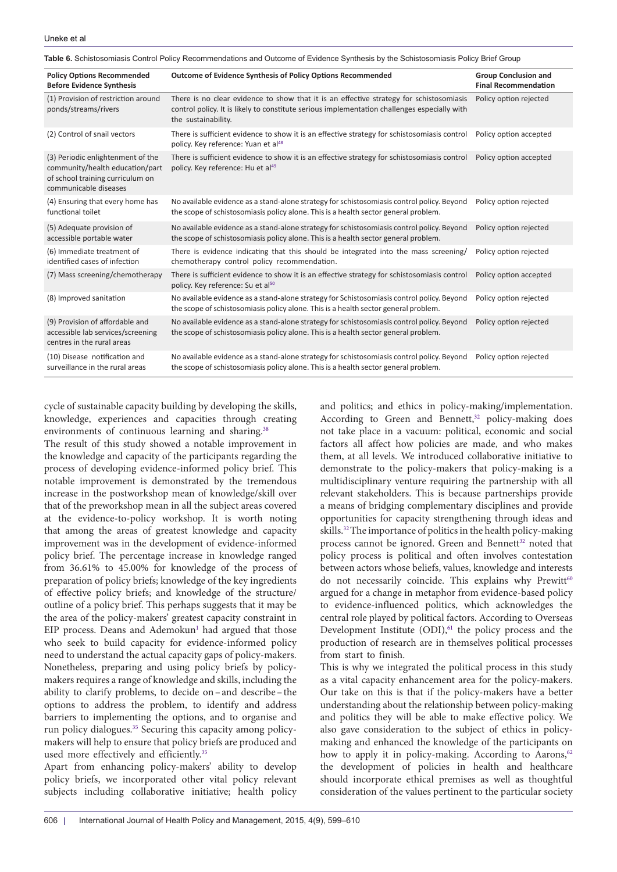<span id="page-7-0"></span>**Table 6.** Schistosomiasis Control Policy Recommendations and Outcome of Evidence Synthesis by the Schistosomiasis Policy Brief Group

| <b>Policy Options Recommended</b><br><b>Before Evidence Synthesis</b>                                                             | <b>Outcome of Evidence Synthesis of Policy Options Recommended</b>                                                                                                                                             | <b>Group Conclusion and</b><br><b>Final Recommendation</b> |
|-----------------------------------------------------------------------------------------------------------------------------------|----------------------------------------------------------------------------------------------------------------------------------------------------------------------------------------------------------------|------------------------------------------------------------|
| (1) Provision of restriction around<br>ponds/streams/rivers                                                                       | There is no clear evidence to show that it is an effective strategy for schistosomiasis<br>control policy. It is likely to constitute serious implementation challenges especially with<br>the sustainability. | Policy option rejected                                     |
| (2) Control of snail vectors                                                                                                      | There is sufficient evidence to show it is an effective strategy for schistosomiasis control<br>policy. Key reference: Yuan et al <sup>48</sup>                                                                | Policy option accepted                                     |
| (3) Periodic enlightenment of the<br>community/health education/part<br>of school training curriculum on<br>communicable diseases | There is sufficient evidence to show it is an effective strategy for schistosomiasis control<br>policy. Key reference: Hu et al <sup>49</sup>                                                                  | Policy option accepted                                     |
| (4) Ensuring that every home has<br>functional toilet                                                                             | No available evidence as a stand-alone strategy for schistosomiasis control policy. Beyond<br>the scope of schistosomiasis policy alone. This is a health sector general problem.                              | Policy option rejected                                     |
| (5) Adequate provision of<br>accessible portable water                                                                            | No available evidence as a stand-alone strategy for schistosomiasis control policy. Beyond<br>the scope of schistosomiasis policy alone. This is a health sector general problem.                              | Policy option rejected                                     |
| (6) Immediate treatment of<br>identified cases of infection                                                                       | There is evidence indicating that this should be integrated into the mass screening/<br>chemotherapy control policy recommendation.                                                                            | Policy option rejected                                     |
| (7) Mass screening/chemotherapy                                                                                                   | There is sufficient evidence to show it is an effective strategy for schistosomiasis control<br>policy. Key reference: Su et al <sup>50</sup>                                                                  | Policy option accepted                                     |
| (8) Improved sanitation                                                                                                           | No available evidence as a stand-alone strategy for Schistosomiasis control policy. Beyond<br>the scope of schistosomiasis policy alone. This is a health sector general problem.                              | Policy option rejected                                     |
| (9) Provision of affordable and<br>accessible lab services/screening<br>centres in the rural areas                                | No available evidence as a stand-alone strategy for schistosomiasis control policy. Beyond<br>the scope of schistosomiasis policy alone. This is a health sector general problem.                              | Policy option rejected                                     |
| (10) Disease notification and<br>surveillance in the rural areas                                                                  | No available evidence as a stand-alone strategy for schistosomiasis control policy. Beyond<br>the scope of schistosomiasis policy alone. This is a health sector general problem.                              | Policy option rejected                                     |

cycle of sustainable capacity building by developing the skills, knowledge, experiences and capacities through creating environments of continuous learning and sharing.<sup>[38](#page-10-22)</sup>

The result of this study showed a notable improvement in the knowledge and capacity of the participants regarding the process of developing evidence-informed policy brief. This notable improvement is demonstrated by the tremendous increase in the postworkshop mean of knowledge/skill over that of the preworkshop mean in all the subject areas covered at the evidence-to-policy workshop. It is worth noting that among the areas of greatest knowledge and capacity improvement was in the development of evidence-informed policy brief. The percentage increase in knowledge ranged from 36.61% to 45.00% for knowledge of the process of preparation of policy briefs; knowledge of the key ingredients of effective policy briefs; and knowledge of the structure/ outline of a policy brief. This perhaps suggests that it may be the area of the policy-makers' greatest capacity constraint in EIP process. Deans and Ademokun<sup>1</sup> had argued that those who seek to build capacity for evidence-informed policy need to understand the actual capacity gaps of policy-makers. Nonetheless, preparing and using policy briefs by policymakers requires a range of knowledge and skills, including the ability to clarify problems, to decide on–and describe–the options to address the problem, to identify and address barriers to implementing the options, and to organise and run policy dialogues.<sup>[35](#page-10-19)</sup> Securing this capacity among policymakers will help to ensure that policy briefs are produced and used more effectively and efficiently.[35](#page-10-19)

Apart from enhancing policy-makers' ability to develop policy briefs, we incorporated other vital policy relevant subjects including collaborative initiative; health policy and politics; and ethics in policy-making/implementation. According to Green and Bennett,<sup>[32](#page-10-16)</sup> policy-making does not take place in a vacuum: political, economic and social factors all affect how policies are made, and who makes them, at all levels. We introduced collaborative initiative to demonstrate to the policy-makers that policy-making is a multidisciplinary venture requiring the partnership with all relevant stakeholders. This is because partnerships provide a means of bridging complementary disciplines and provide opportunities for capacity strengthening through ideas and skills.<sup>32</sup>The importance of politics in the health policy-making process cannot be ignored. Green and Bennett<sup>32</sup> noted that policy process is political and often involves contestation between actors whose beliefs, values, knowledge and interests do not necessarily coincide. This explains why Prewitt<sup>60</sup> argued for a change in metaphor from evidence-based policy to evidence-influenced politics, which acknowledges the central role played by political factors. According to Overseas Development Institute  $(ODI)$ ,<sup>[61](#page-11-11)</sup> the policy process and the production of research are in themselves political processes from start to finish.

This is why we integrated the political process in this study as a vital capacity enhancement area for the policy-makers. Our take on this is that if the policy-makers have a better understanding about the relationship between policy-making and politics they will be able to make effective policy. We also gave consideration to the subject of ethics in policymaking and enhanced the knowledge of the participants on how to apply it in policy-making. According to Aarons,<sup>62</sup> the development of policies in health and healthcare should incorporate ethical premises as well as thoughtful consideration of the values pertinent to the particular society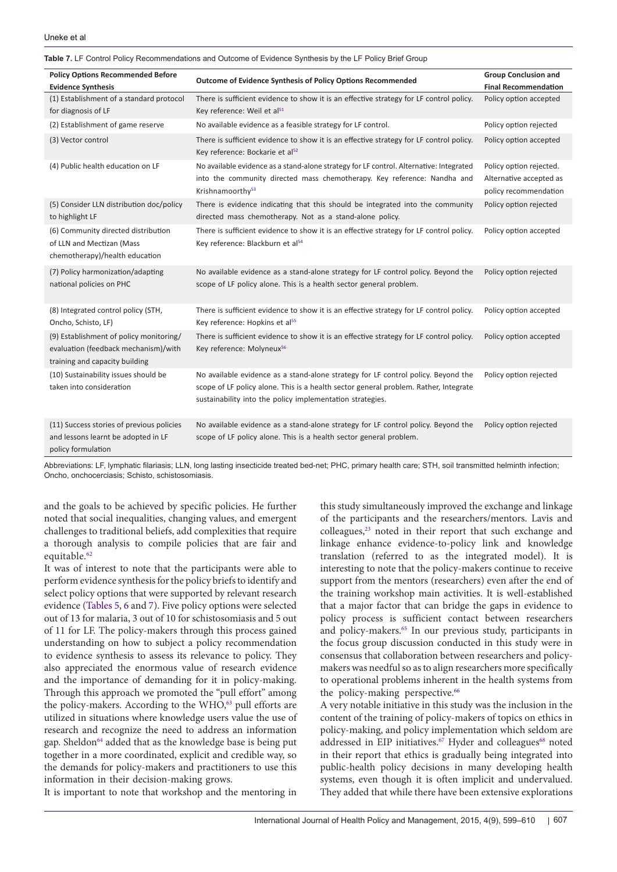#### <span id="page-8-0"></span>**Table 7.** LF Control Policy Recommendations and Outcome of Evidence Synthesis by the LF Policy Brief Group

| <b>Policy Options Recommended Before</b><br><b>Evidence Synthesis</b>                                             | <b>Outcome of Evidence Synthesis of Policy Options Recommended</b>                                                                                                                                                                     | <b>Group Conclusion and</b><br><b>Final Recommendation</b>                  |
|-------------------------------------------------------------------------------------------------------------------|----------------------------------------------------------------------------------------------------------------------------------------------------------------------------------------------------------------------------------------|-----------------------------------------------------------------------------|
| (1) Establishment of a standard protocol<br>for diagnosis of LF                                                   | There is sufficient evidence to show it is an effective strategy for LF control policy.<br>Key reference: Weil et al <sup>51</sup>                                                                                                     | Policy option accepted                                                      |
| (2) Establishment of game reserve                                                                                 | No available evidence as a feasible strategy for LF control.                                                                                                                                                                           | Policy option rejected                                                      |
| (3) Vector control                                                                                                | There is sufficient evidence to show it is an effective strategy for LF control policy.<br>Key reference: Bockarie et al <sup>52</sup>                                                                                                 | Policy option accepted                                                      |
| (4) Public health education on LF                                                                                 | No available evidence as a stand-alone strategy for LF control. Alternative: Integrated<br>into the community directed mass chemotherapy. Key reference: Nandha and<br>Krishnamoorthy <sup>53</sup>                                    | Policy option rejected.<br>Alternative accepted as<br>policy recommendation |
| (5) Consider LLN distribution doc/policy<br>to highlight LF                                                       | There is evidence indicating that this should be integrated into the community<br>directed mass chemotherapy. Not as a stand-alone policy.                                                                                             | Policy option rejected                                                      |
| (6) Community directed distribution<br>of LLN and Mectizan (Mass<br>chemotherapy)/health education                | There is sufficient evidence to show it is an effective strategy for LF control policy.<br>Key reference: Blackburn et al <sup>54</sup>                                                                                                | Policy option accepted                                                      |
| (7) Policy harmonization/adapting<br>national policies on PHC                                                     | No available evidence as a stand-alone strategy for LF control policy. Beyond the<br>scope of LF policy alone. This is a health sector general problem.                                                                                | Policy option rejected                                                      |
| (8) Integrated control policy (STH,<br>Oncho, Schisto, LF)                                                        | There is sufficient evidence to show it is an effective strategy for LF control policy.<br>Key reference: Hopkins et al <sup>55</sup>                                                                                                  | Policy option accepted                                                      |
| (9) Establishment of policy monitoring/<br>evaluation (feedback mechanism)/with<br>training and capacity building | There is sufficient evidence to show it is an effective strategy for LF control policy.<br>Key reference: Molyneux <sup>56</sup>                                                                                                       | Policy option accepted                                                      |
| (10) Sustainability issues should be<br>taken into consideration                                                  | No available evidence as a stand-alone strategy for LF control policy. Beyond the<br>scope of LF policy alone. This is a health sector general problem. Rather, Integrate<br>sustainability into the policy implementation strategies. | Policy option rejected                                                      |
| (11) Success stories of previous policies<br>and lessons learnt be adopted in LF<br>policy formulation            | No available evidence as a stand-alone strategy for LF control policy. Beyond the<br>scope of LF policy alone. This is a health sector general problem.                                                                                | Policy option rejected                                                      |

Abbreviations: LF, lymphatic filariasis; LLN, long lasting insecticide treated bed-net; PHC, primary health care; STH, soil transmitted helminth infection; Oncho, onchocerciasis; Schisto, schistosomiasis.

and the goals to be achieved by specific policies. He further noted that social inequalities, changing values, and emergent challenges to traditional beliefs, add complexities that require a thorough analysis to compile policies that are fair and equitable.<sup>62</sup>

It was of interest to note that the participants were able to perform evidence synthesis for the policy briefs to identify and select policy options that were supported by relevant research evidence [\(Tables 5](#page-6-0), [6](#page-7-0) and [7](#page-8-0)). Five policy options were selected out of 13 for malaria, 3 out of 10 for schistosomiasis and 5 out of 11 for LF. The policy-makers through this process gained understanding on how to subject a policy recommendation to evidence synthesis to assess its relevance to policy. They also appreciated the enormous value of research evidence and the importance of demanding for it in policy-making. Through this approach we promoted the "pull effort" among the policy-makers. According to the  $WHO<sub>0</sub><sup>63</sup>$  pull efforts are utilized in situations where knowledge users value the use of research and recognize the need to address an information gap. Sheldon<sup>[64](#page-11-15)</sup> added that as the knowledge base is being put together in a more coordinated, explicit and credible way, so the demands for policy-makers and practitioners to use this information in their decision-making grows.

It is important to note that workshop and the mentoring in

this study simultaneously improved the exchange and linkage of the participants and the researchers/mentors. Lavis and colleagues[,23](#page-10-10) noted in their report that such exchange and linkage enhance evidence-to-policy link and knowledge translation (referred to as the integrated model). It is interesting to note that the policy-makers continue to receive support from the mentors (researchers) even after the end of the training workshop main activities. It is well-established that a major factor that can bridge the gaps in evidence to policy process is sufficient contact between researchers and policy-makers.<sup>65</sup> In our previous study, participants in the focus group discussion conducted in this study were in consensus that collaboration between researchers and policymakers was needful so as to align researchers more specifically to operational problems inherent in the health systems from the policy-making perspective.<sup>66</sup>

A very notable initiative in this study was the inclusion in the content of the training of policy-makers of topics on ethics in policy-making, and policy implementation which seldom are addressed in EIP initiatives.<sup>67</sup> Hyder and colleagues<sup>[68](#page-11-19)</sup> noted in their report that ethics is gradually being integrated into public-health policy decisions in many developing health systems, even though it is often implicit and undervalued. They added that while there have been extensive explorations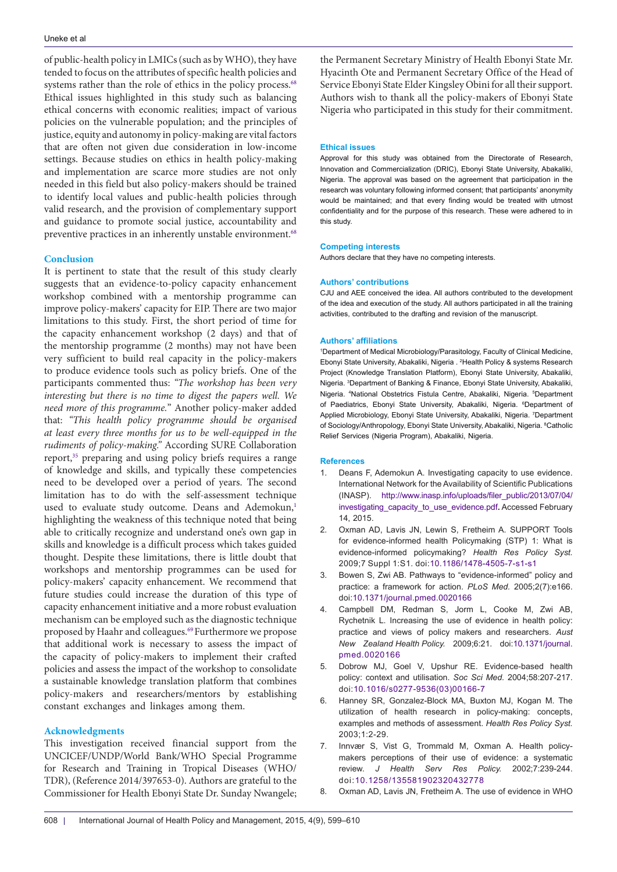of public-health policy in LMICs (such as by WHO), they have tended to focus on the attributes of specific health policies and systems rather than the role of ethics in the policy process.<sup>[68](#page-11-19)</sup> Ethical issues highlighted in this study such as balancing ethical concerns with economic realities; impact of various policies on the vulnerable population; and the principles of justice, equity and autonomy in policy-making are vital factors that are often not given due consideration in low-income settings. Because studies on ethics in health policy-making and implementation are scarce more studies are not only needed in this field but also policy-makers should be trained to identify local values and public-health policies through valid research, and the provision of complementary support and guidance to promote social justice, accountability and preventive practices in an inherently unstable environment.<sup>[68](#page-11-19)</sup>

## **Conclusion**

It is pertinent to state that the result of this study clearly suggests that an evidence-to-policy capacity enhancement workshop combined with a mentorship programme can improve policy-makers' capacity for EIP. There are two major limitations to this study. First, the short period of time for the capacity enhancement workshop (2 days) and that of the mentorship programme (2 months) may not have been very sufficient to build real capacity in the policy-makers to produce evidence tools such as policy briefs. One of the participants commented thus: *"The workshop has been very interesting but there is no time to digest the papers well. We need more of this programme.*" Another policy-maker added that: *"This health policy programme should be organised at least every three months for us to be well-equipped in the rudiments of policy-making."* According SURE Collaboration report,<sup>[35](#page-10-19)</sup> preparing and using policy briefs requires a range of knowledge and skills, and typically these competencies need to be developed over a period of years. The second limitation has to do with the self-assessment technique used to evaluate study outcome. Deans and Ademokun,<sup>[1](#page-9-8)</sup> highlighting the weakness of this technique noted that being able to critically recognize and understand one's own gap in skills and knowledge is a difficult process which takes guided thought. Despite these limitations, there is little doubt that workshops and mentorship programmes can be used for policy-makers' capacity enhancement. We recommend that future studies could increase the duration of this type of capacity enhancement initiative and a more robust evaluation mechanism can be employed such as the diagnostic technique proposed by Haahr and colleagues.<sup>[69](#page-11-24)</sup> Furthermore we propose that additional work is necessary to assess the impact of the capacity of policy-makers to implement their crafted policies and assess the impact of the workshop to consolidate a sustainable knowledge translation platform that combines policy-makers and researchers/mentors by establishing constant exchanges and linkages among them.

# **Acknowledgments**

This investigation received financial support from the UNCICEF/UNDP/World Bank/WHO Special Programme for Research and Training in Tropical Diseases (WHO/ TDR), (Reference 2014/397653-0). Authors are grateful to the Commissioner for Health Ebonyi State Dr. Sunday Nwangele;

the Permanent Secretary Ministry of Health Ebonyi State Mr. Hyacinth Ote and Permanent Secretary Office of the Head of Service Ebonyi State Elder Kingsley Obini for all their support. Authors wish to thank all the policy-makers of Ebonyi State Nigeria who participated in this study for their commitment.

#### **Ethical issues**

Approval for this study was obtained from the Directorate of Research, Innovation and Commercialization (DRIC), Ebonyi State University, Abakaliki, Nigeria. The approval was based on the agreement that participation in the research was voluntary following informed consent; that participants' anonymity would be maintained; and that every finding would be treated with utmost confidentiality and for the purpose of this research. These were adhered to in this study.

#### **Competing interests**

Authors declare that they have no competing interests.

#### **Authors' contributions**

CJU and AEE conceived the idea. All authors contributed to the development of the idea and execution of the study. All authors participated in all the training activities, contributed to the drafting and revision of the manuscript.

#### **Authors' affiliations**

<span id="page-9-5"></span><span id="page-9-4"></span><span id="page-9-3"></span><span id="page-9-2"></span><span id="page-9-1"></span><span id="page-9-0"></span>1 Department of Medical Microbiology/Parasitology, Faculty of Clinical Medicine, Ebonyi State University, Abakaliki, Nigeria . <sup>2</sup> Health Policy & systems Research Project (Knowledge Translation Platform), Ebonyi State University, Abakaliki, Nigeria. <sup>3</sup> Department of Banking & Finance, Ebonyi State University, Abakaliki, Nigeria. <sup>4</sup> National Obstetrics Fistula Centre, Abakaliki, Nigeria. <sup>5</sup> Department of Paediatrics, Ebonyi State University, Abakaliki, Nigeria. <sup>6</sup>Department of Applied Microbiology, Ebonyi State University, Abakaliki, Nigeria. <sup>7</sup>Department of Sociology/Anthropology, Ebonyi State University, Abakaliki, Nigeria. <sup>8</sup>Catholic Relief Services (Nigeria Program), Abakaliki, Nigeria.

#### <span id="page-9-7"></span><span id="page-9-6"></span>**References**

- <span id="page-9-8"></span>1. Deans F, Ademokun A. Investigating capacity to use evidence. International Network for the Availability of Scientific Publications (INASP). htt[p://www.inasp.info/uploads/filer\\_public/2013/07/04/](http://www.inasp.info/uploads/filer_public/2013/07/04/investigating_capacity_to_use_evidence.pdf) [investigating\\_capacity\\_to\\_use\\_evidence.pdf](http://www.inasp.info/uploads/filer_public/2013/07/04/investigating_capacity_to_use_evidence.pdf)**.**Accessed February 14, 2015.
- <span id="page-9-9"></span>2. Oxman AD, Lavis JN, Lewin S, Fretheim A. SUPPORT Tools for evidence-informed health Policymaking (STP) 1: What is evidence-informed policymaking? *Health Res Policy Syst.* 2009;7 Suppl 1:S1. doi:[10.1186/1478-4505-7-s1-s1](http://dx.doi.org/10.1186/1478-4505-7-s1-s1)
- <span id="page-9-10"></span>Bowen S, Zwi AB. Pathways to "evidence-informed" policy and practice: a framework for action. *PLoS Med.* 2005;2(7):e166. doi[:10.1371/journal.pmed.0020166](http://dx.doi.org/10.1371/journal.pmed.0020166)
- <span id="page-9-11"></span>4. Campbell DM, Redman S, Jorm L, Cooke M, Zwi AB, Rychetnik L. Increasing the use of evidence in health policy: practice and views of policy makers and researchers. *Aust New Zealand Health Policy.* 2009;6:21. doi[:10.1371/journal.](http://dx.doi.org/10.1371/journal.pmed.0020166) [pmed.0020166](http://dx.doi.org/10.1371/journal.pmed.0020166)
- 5. Dobrow MJ, Goel V, Upshur RE. Evidence-based health policy: context and utilisation. *Soc Sci Med.* 2004;58:207-217. doi:[10.1016/s0277-9536\(03\)00166-7](http://dx.doi.org/10.1016/s0277-9536(03)00166-7)
- 6. Hanney SR, Gonzalez-Block MA, Buxton MJ, Kogan M. The utilization of health research in policy-making: concepts, examples and methods of assessment. *Health Res Policy Syst.* 2003;1:2-29.
- <span id="page-9-12"></span>7. Innvær S, Vist G, Trommald M, Oxman A. Health policymakers perceptions of their use of evidence: a systematic review. *J Health Serv Res Policy.* 2002;7:239-244. doi:[10.1258/135581902320432778](http://dx.doi.org/10.1258/135581902320432778)
- 8. Oxman AD, Lavis JN, Fretheim A. The use of evidence in WHO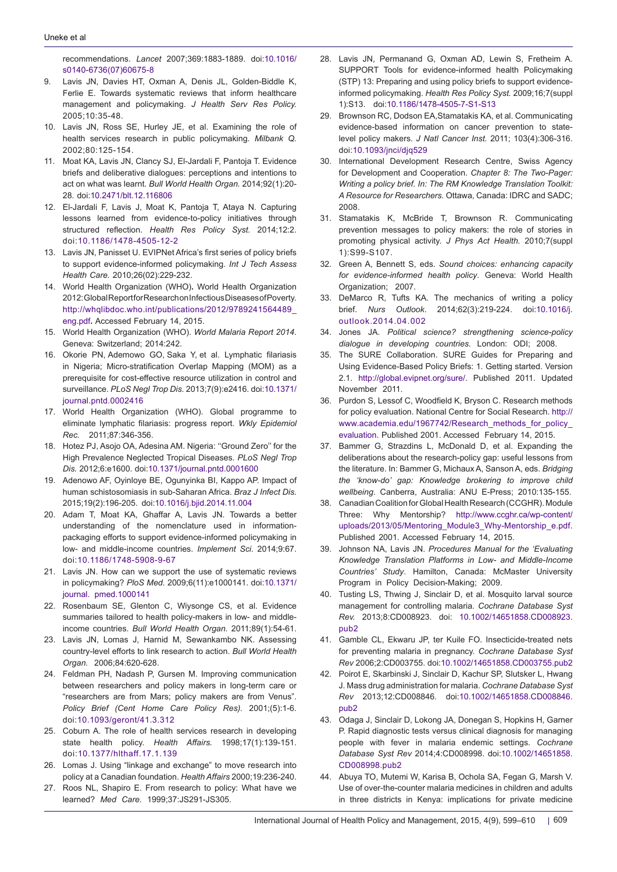recommendations. *Lancet* 2007;369:1883-1889. doi[:10.1016/](http://dx.doi.org/10.1016/s0140-6736(07)60675-8 ) [s0140-6736\(07\)60675-8](http://dx.doi.org/10.1016/s0140-6736(07)60675-8 )

- 9. Lavis JN, Davies HT, Oxman A, Denis JL, Golden-Biddle K, Ferlie E. Towards systematic reviews that inform healthcare management and policymaking. *J Health Serv Res Policy.*  2005;10:35-48.
- <span id="page-10-0"></span>10. Lavis JN, Ross SE, Hurley JE, et al. Examining the role of health services research in public policymaking. *Milbank Q.*  2002;80:125-154.
- <span id="page-10-1"></span>11. Moat KA, Lavis JN, Clancy SJ, El-Jardali F, Pantoja T. Evidence briefs and deliberative dialogues: perceptions and intentions to act on what was learnt. *Bull World Health Organ.* 2014;92(1):20- 28. doi[:10.2471/blt.12.116806](http://dx.doi.org/10.2471/blt.12.116806)
- 12. El-Jardali F, Lavis J, Moat K, Pantoja T, Ataya N. Capturing lessons learned from evidence-to-policy initiatives through structured reflection. *Health Res Policy Syst.* 2014;12:2. doi:[10.1186/1478-4505-12-2](http://dx.doi.org/10.1186/1478-4505-12-2)
- <span id="page-10-2"></span>13. Lavis JN, Panisset U. EVIPNet Africa's first series of policy briefs to support evidence-informed policymaking. *Int J Tech Assess Health Care.* 2010;26(02):229-232.
- <span id="page-10-3"></span>14. World Health Organization (WHO)**.** World Health Organization 2012: Global Report for Research on Infectious Diseases of Poverty. [http://whqlibdoc.who.int/publications/2012/9789241564489\\_](http://whqlibdoc.who.int/publications/2012/9789241564489_eng.pdf) [eng.pdf](http://whqlibdoc.who.int/publications/2012/9789241564489_eng.pdf)**.** Accessed February 14, 2015.
- <span id="page-10-4"></span>15. World Health Organization (WHO). *World Malaria Report 2014*. Geneva: Switzerland; 2014:242.
- <span id="page-10-5"></span>16. Okorie PN, Ademowo GO, Saka Y, et al. Lymphatic filariasis in Nigeria; Micro-stratification Overlap Mapping (MOM) as a prerequisite for cost-effective resource utilization in control and surveillance. *PLoS Negl Trop Dis.* 2013;7(9):e2416. doi[:10.1371/](http://dx.doi.org/10.1371/journal.pntd.0002416) [journal.pntd.0002416](http://dx.doi.org/10.1371/journal.pntd.0002416)
- 17. World Health Organization (WHO). Global programme to eliminate lymphatic filariasis: progress report. *Wkly Epidemiol Rec.* 2011;87:346-356.
- <span id="page-10-6"></span>18. Hotez PJ, Asojo OA, Adesina AM. Nigeria: ''Ground Zero'' for the High Prevalence Neglected Tropical Diseases. *PLoS Negl Trop Dis.* 2012;6:e1600. doi[:10.1371/journal.pntd.](http://dx.doi.org/10.1371/journal.pntd.0001600)0001600
- <span id="page-10-7"></span>19. Adenowo AF, Oyinloye BE, Ogunyinka BI, Kappo AP. Impact of human schistosomiasis in sub-Saharan Africa. *Braz J Infect Dis.* 2015;19(2):196-205. doi:[10.1016/j.bjid.2014.11.004](http://dx.doi.org/10.1016/j.bjid.2014.11.004)
- <span id="page-10-8"></span>20. Adam T, Moat KA, Ghaffar A, Lavis JN. Towards a better understanding of the nomenclature used in informationpackaging efforts to support evidence-informed policymaking in low- and middle-income countries. *Implement Sci.* 2014;9:67. doi:[10.1186/1748-5908-9-67](http://dx.doi.org/10.1186/1748-5908-9-67)
- <span id="page-10-9"></span>21. Lavis JN. How can we support the use of systematic reviews in policymaking? *PloS Med.* 2009;6(11):e1000141. doi[:10.1371/](http://dx.doi.org/10.1371/journal. pmed.1000141) [journal. pmed.1000141](http://dx.doi.org/10.1371/journal. pmed.1000141)
- 22. Rosenbaum SE, Glenton C, Wiysonge CS, et al. Evidence summaries tailored to health policy-makers in low- and middleincome countries. *Bull World Health Organ.* 2011;89(1):54-61.
- <span id="page-10-10"></span>23. Lavis JN, Lomas J, Harnid M, Sewankambo NK. Assessing country-level efforts to link research to action. *Bull World Health Organ.* 2006;84:620-628.
- <span id="page-10-11"></span>24. Feldman PH, Nadash P, Gursen M. Improving communication between researchers and policy makers in long-term care or "researchers are from Mars; policy makers are from Venus". *Policy Brief (Cent Home Care Policy Res).* 2001;(5):1-6. doi:[10.1093/geront/41.3.312](http://dx.doi.org/10.1093/geront/41.3.312)
- 25. Coburn A. The role of health services research in developing state health policy. *Health Affairs.* 1998;17(1):139-151. doi:[10.1377/hlthaff.17.1.139](http://dx.doi.org/10.1377/hlthaff.17.1.139)
- 26. Lomas J. Using "linkage and exchange" to move research into policy at a Canadian foundation. *Health Affairs* 2000;19:236-240.
- <span id="page-10-12"></span>27. Roos NL, Shapiro E. From research to policy: What have we learned? *Med Care.* 1999;37:JS291-JS305.
- <span id="page-10-13"></span>28. Lavis JN, Permanand G, Oxman AD, Lewin S, Fretheim A. SUPPORT Tools for evidence-informed health Policymaking (STP) 13: Preparing and using policy briefs to support evidenceinformed policymaking. *Health Res Policy Syst.* 2009;16;7(suppl 1):S13. doi[:10.1186/1478-4505-7-S1-S13](http://dx.doi.org/10.1186/1478-4505-7-S1-S13)
- <span id="page-10-14"></span>29. Brownson RC, Dodson EA,Stamatakis KA, et al. Communicating evidence-based information on cancer prevention to statelevel policy makers. *J Natl Cancer Inst.* 2011; 103(4):306-316. doi[:10.1093/jnci/djq529](http://dx.doi.org/10.1093/jnci/djq529)
- 30. International Development Research Centre, Swiss Agency for Development and Cooperation. *Chapter 8: The Two-Pager: Writing a policy brief. In: The RM Knowledge Translation Toolkit: A Resource for Researchers.* Ottawa, Canada: IDRC and SADC; 2008.
- <span id="page-10-15"></span>31. Stamatakis K, McBride T, Brownson R. Communicating prevention messages to policy makers: the role of stories in promoting physical activity. *J Phys Act Health.* 2010;7(suppl 1):S99-S107.
- <span id="page-10-16"></span>32. Green A, Bennett S, eds. *Sound choices: enhancing capacity for evidence-informed health policy*. Geneva: World Health Organization; 2007.
- <span id="page-10-17"></span>33. DeMarco R, Tufts KA. The mechanics of writing a policy brief. *Nurs Outlook*. 2014;62(3):219-224. doi:[10.1016/j.](http://dx.doi.org/10.1016/j.outlook.2014.04.002) [outlook.2014.04.002](http://dx.doi.org/10.1016/j.outlook.2014.04.002)
- <span id="page-10-18"></span>34. Jones JA. *Political science? strengthening science-policy dialogue in developing countries.* London: ODI; 2008.
- <span id="page-10-19"></span>35. The SURE Collaboration. SURE Guides for Preparing and Using Evidence-Based Policy Briefs: 1. Getting started. Version 2.1. <http://global.evipnet.org/sure/>. Published 2011. Updated November 2011.
- <span id="page-10-20"></span>36. Purdon S, Lessof C, Woodfield K, Bryson C. Research methods for policy evaluation. National Centre for Social Research. [http://](http://www.academia.edu/1967742/Research_methods_for_policy_evaluation) [www.academia.edu/1967742/Research\\_methods\\_for\\_policy\\_](http://www.academia.edu/1967742/Research_methods_for_policy_evaluation) [evaluation](http://www.academia.edu/1967742/Research_methods_for_policy_evaluation). Published 2001. Accessed February 14, 2015.
- <span id="page-10-21"></span>37. Bammer G, Strazdins L, McDonald D, et al. Expanding the deliberations about the research-policy gap: useful lessons from the literature. In: Bammer G, Michaux A, Sanson A, eds. *Bridging the 'know-do' gap: Knowledge brokering to improve child wellbeing*. Canberra, Australia: ANU E-Press; 2010:135-155.
- <span id="page-10-22"></span>38. Canadian Coalition for Global Health Research (CCGHR). Module Three: Why Mentorship? [http://www.ccghr.ca/wp-content/](http://www.ccghr.ca/wp-content/uploads/2013/05/Mentoring_Module3_Why-Mentorship_e.pdf) [uploads/2013/05/Mentoring\\_Module3\\_Why-Mentorship\\_e.pdf.](http://www.ccghr.ca/wp-content/uploads/2013/05/Mentoring_Module3_Why-Mentorship_e.pdf) Published 2001. Accessed February 14, 2015.
- <span id="page-10-23"></span>39. Johnson NA, Lavis JN. *Procedures Manual for the 'Evaluating Knowledge Translation Platforms in Low- and Middle-Income Countries' Study*. Hamilton, Canada: McMaster University Program in Policy Decision-Making; 2009.
- <span id="page-10-24"></span>40. Tusting LS, Thwing J, Sinclair D, et al. Mosquito larval source management for controlling malaria. *Cochrane Database Syst Rev.* 2013;8:CD008923. doi: [10.1002/14651858.CD008923.](http://dx.doi.org/10.1002/14651858.CD008923.pub2) [pub2](http://dx.doi.org/10.1002/14651858.CD008923.pub2)
- <span id="page-10-25"></span>41. Gamble CL, Ekwaru JP, ter Kuile FO. Insecticide-treated nets for preventing malaria in pregnancy. *Cochrane Database Syst Rev* 2006;2:CD003755. doi:[10.1002/14651858.CD003755.pub2](http://dx.doi.org/10.0.3.234/14651858.CD008923.pub2)
- <span id="page-10-26"></span>42. Poirot E, Skarbinski J, Sinclair D, Kachur SP, Slutsker L, Hwang J. Mass drug administration for malaria. *Cochrane Database Syst Rev* 2013;12:CD008846. doi[:10.1002/14651858.CD008846.](http://dx.doi.org/10.1002/14651858.CD008846.pub2) [pub2](http://dx.doi.org/10.1002/14651858.CD008846.pub2)
- <span id="page-10-27"></span>43. Odaga J, Sinclair D, Lokong JA, Donegan S, Hopkins H, Garner P. Rapid diagnostic tests versus clinical diagnosis for managing people with fever in malaria endemic settings. *Cochrane Database Syst Rev* 2014;4:CD008998. doi:[10.1002/14651858.](http://dx.doi.org/10.1002/14651858.CD008998.pub2) [CD008998.pub2](http://dx.doi.org/10.1002/14651858.CD008998.pub2)
- <span id="page-10-28"></span>44. Abuya TO, Mutemi W, Karisa B, Ochola SA, Fegan G, Marsh V. Use of over-the-counter malaria medicines in children and adults in three districts in Kenya: implications for private medicine